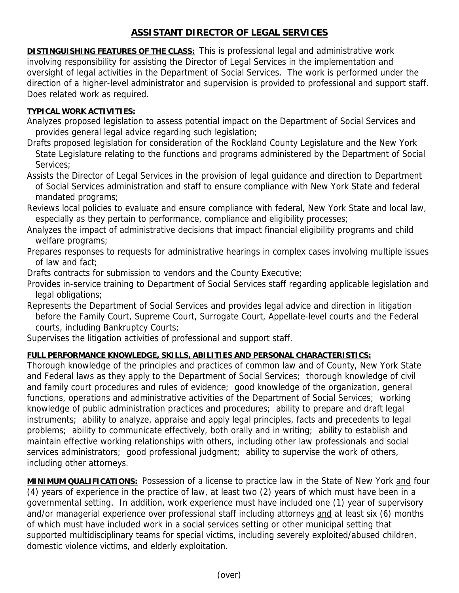## **ASSISTANT DIRECTOR OF LEGAL SERVICES**

**DISTINGUISHING FEATURES OF THE CLASS:** This is professional legal and administrative work involving responsibility for assisting the Director of Legal Services in the implementation and oversight of legal activities in the Department of Social Services. The work is performed under the direction of a higher-level administrator and supervision is provided to professional and support staff. Does related work as required.

## **TYPICAL WORK ACTIVITIES:**

- Analyzes proposed legislation to assess potential impact on the Department of Social Services and provides general legal advice regarding such legislation;
- Drafts proposed legislation for consideration of the Rockland County Legislature and the New York State Legislature relating to the functions and programs administered by the Department of Social Services;
- Assists the Director of Legal Services in the provision of legal guidance and direction to Department of Social Services administration and staff to ensure compliance with New York State and federal mandated programs;
- Reviews local policies to evaluate and ensure compliance with federal, New York State and local law, especially as they pertain to performance, compliance and eligibility processes;
- Analyzes the impact of administrative decisions that impact financial eligibility programs and child welfare programs;
- Prepares responses to requests for administrative hearings in complex cases involving multiple issues of law and fact;
- Drafts contracts for submission to vendors and the County Executive;
- Provides in-service training to Department of Social Services staff regarding applicable legislation and legal obligations;
- Represents the Department of Social Services and provides legal advice and direction in litigation before the Family Court, Supreme Court, Surrogate Court, Appellate-level courts and the Federal courts, including Bankruptcy Courts;
- Supervises the litigation activities of professional and support staff.

## **FULL PERFORMANCE KNOWLEDGE, SKILLS, ABILITIES AND PERSONAL CHARACTERISTICS:**

Thorough knowledge of the principles and practices of common law and of County, New York State and Federal laws as they apply to the Department of Social Services; thorough knowledge of civil and family court procedures and rules of evidence; good knowledge of the organization, general functions, operations and administrative activities of the Department of Social Services; working knowledge of public administration practices and procedures; ability to prepare and draft legal instruments; ability to analyze, appraise and apply legal principles, facts and precedents to legal problems; ability to communicate effectively, both orally and in writing; ability to establish and maintain effective working relationships with others, including other law professionals and social services administrators; good professional judgment; ability to supervise the work of others, including other attorneys.

**MINIMUM QUALIFICATIONS:** Possession of a license to practice law in the State of New York and four (4) years of experience in the practice of law, at least two (2) years of which must have been in a governmental setting. In addition, work experience must have included one (1) year of supervisory and/or managerial experience over professional staff including attorneys and at least six (6) months of which must have included work in a social services setting or other municipal setting that supported multidisciplinary teams for special victims, including severely exploited/abused children, domestic violence victims, and elderly exploitation.